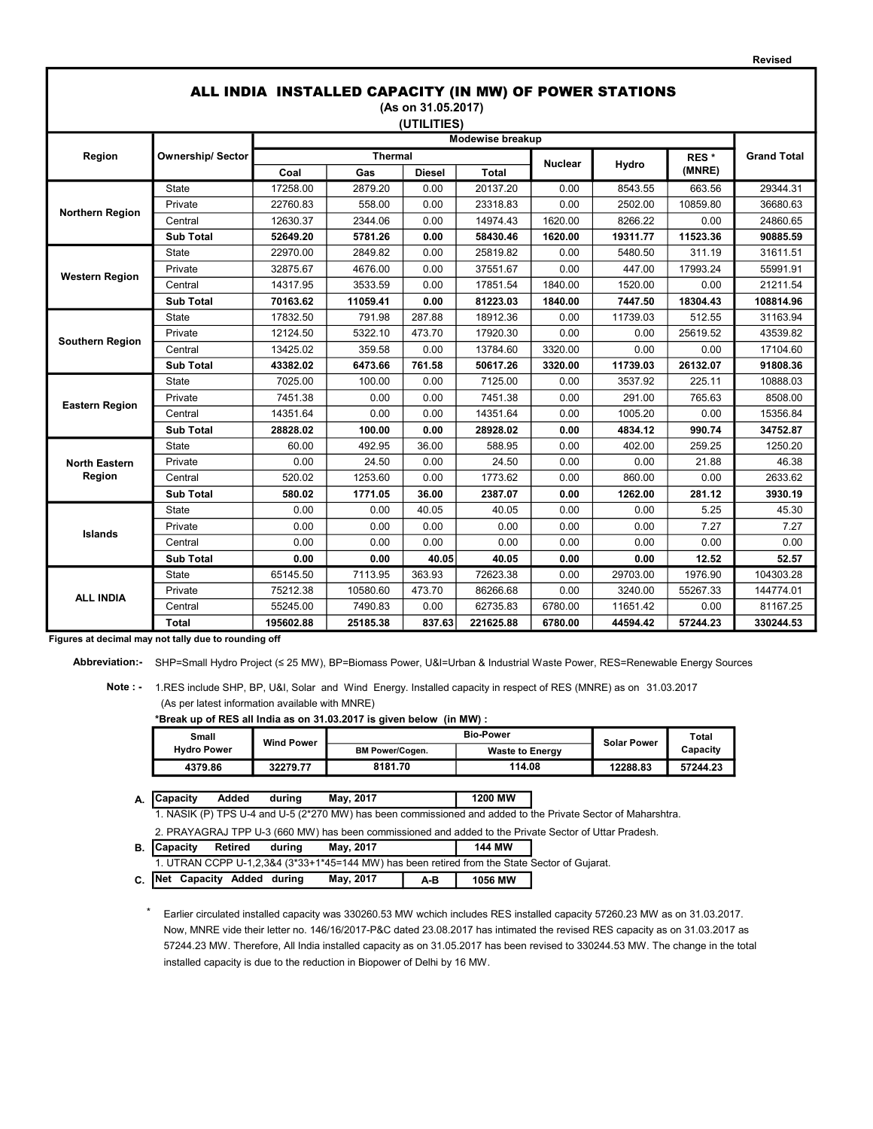| ALL INDIA INSTALLED CAPACITY (IN MW) OF POWER STATIONS<br>(As on 31.05.2017) |                         |           |                  |        |           |                |          |                  |                    |  |
|------------------------------------------------------------------------------|-------------------------|-----------|------------------|--------|-----------|----------------|----------|------------------|--------------------|--|
| (UTILITIES)                                                                  |                         |           |                  |        |           |                |          |                  |                    |  |
|                                                                              |                         |           | Modewise breakup |        |           |                |          |                  |                    |  |
| Region                                                                       | <b>Ownership/Sector</b> |           | <b>Thermal</b>   |        |           | <b>Nuclear</b> | Hydro    | RES <sup>*</sup> | <b>Grand Total</b> |  |
|                                                                              |                         | Coal      | Gas              | Diesel | Total     |                |          | (MNRE)           |                    |  |
|                                                                              | <b>State</b>            | 17258.00  | 2879.20          | 0.00   | 20137.20  | 0.00           | 8543.55  | 663.56           | 29344.31           |  |
| <b>Northern Region</b>                                                       | Private                 | 22760.83  | 558.00           | 0.00   | 23318.83  | 0.00           | 2502.00  | 10859.80         | 36680.63           |  |
|                                                                              | Central                 | 12630.37  | 2344.06          | 0.00   | 14974.43  | 1620.00        | 8266.22  | 0.00             | 24860.65           |  |
|                                                                              | <b>Sub Total</b>        | 52649.20  | 5781.26          | 0.00   | 58430.46  | 1620.00        | 19311.77 | 11523.36         | 90885.59           |  |
|                                                                              | <b>State</b>            | 22970.00  | 2849.82          | 0.00   | 25819.82  | 0.00           | 5480.50  | 311.19           | 31611.51           |  |
| <b>Western Region</b>                                                        | Private                 | 32875.67  | 4676.00          | 0.00   | 37551.67  | 0.00           | 447.00   | 17993.24         | 55991.91           |  |
|                                                                              | Central                 | 14317.95  | 3533.59          | 0.00   | 17851.54  | 1840.00        | 1520.00  | 0.00             | 21211.54           |  |
|                                                                              | <b>Sub Total</b>        | 70163.62  | 11059.41         | 0.00   | 81223.03  | 1840.00        | 7447.50  | 18304.43         | 108814.96          |  |
| <b>Southern Region</b>                                                       | State                   | 17832.50  | 791.98           | 287.88 | 18912.36  | 0.00           | 11739.03 | 512.55           | 31163.94           |  |
|                                                                              | Private                 | 12124.50  | 5322.10          | 473.70 | 17920.30  | 0.00           | 0.00     | 25619.52         | 43539.82           |  |
|                                                                              | Central                 | 13425.02  | 359.58           | 0.00   | 13784.60  | 3320.00        | 0.00     | 0.00             | 17104.60           |  |
|                                                                              | <b>Sub Total</b>        | 43382.02  | 6473.66          | 761.58 | 50617.26  | 3320.00        | 11739.03 | 26132.07         | 91808.36           |  |
|                                                                              | <b>State</b>            | 7025.00   | 100.00           | 0.00   | 7125.00   | 0.00           | 3537.92  | 225.11           | 10888.03           |  |
| <b>Eastern Region</b>                                                        | Private                 | 7451.38   | 0.00             | 0.00   | 7451.38   | 0.00           | 291.00   | 765.63           | 8508.00            |  |
|                                                                              | Central                 | 14351.64  | 0.00             | 0.00   | 14351.64  | 0.00           | 1005.20  | 0.00             | 15356.84           |  |
|                                                                              | <b>Sub Total</b>        | 28828.02  | 100.00           | 0.00   | 28928.02  | 0.00           | 4834.12  | 990.74           | 34752.87           |  |
|                                                                              | <b>State</b>            | 60.00     | 492.95           | 36.00  | 588.95    | 0.00           | 402.00   | 259.25           | 1250.20            |  |
| <b>North Eastern</b>                                                         | Private                 | 0.00      | 24.50            | 0.00   | 24.50     | 0.00           | 0.00     | 21.88            | 46.38              |  |
| Region                                                                       | Central                 | 520.02    | 1253.60          | 0.00   | 1773.62   | 0.00           | 860.00   | 0.00             | 2633.62            |  |
|                                                                              | <b>Sub Total</b>        | 580.02    | 1771.05          | 36.00  | 2387.07   | 0.00           | 1262.00  | 281.12           | 3930.19            |  |
|                                                                              | State                   | 0.00      | 0.00             | 40.05  | 40.05     | 0.00           | 0.00     | 5.25             | 45.30              |  |
| <b>Islands</b>                                                               | Private                 | 0.00      | 0.00             | 0.00   | 0.00      | 0.00           | 0.00     | 7.27             | 7.27               |  |
|                                                                              | Central                 | 0.00      | 0.00             | 0.00   | 0.00      | 0.00           | 0.00     | 0.00             | 0.00               |  |
|                                                                              | <b>Sub Total</b>        | 0.00      | 0.00             | 40.05  | 40.05     | 0.00           | 0.00     | 12.52            | 52.57              |  |
|                                                                              | <b>State</b>            | 65145.50  | 7113.95          | 363.93 | 72623.38  | 0.00           | 29703.00 | 1976.90          | 104303.28          |  |
| <b>ALL INDIA</b>                                                             | Private                 | 75212.38  | 10580.60         | 473.70 | 86266.68  | 0.00           | 3240.00  | 55267.33         | 144774.01          |  |
|                                                                              | Central                 | 55245.00  | 7490.83          | 0.00   | 62735.83  | 6780.00        | 11651.42 | 0.00             | 81167.25           |  |
|                                                                              | Total                   | 195602.88 | 25185.38         | 837.63 | 221625.88 | 6780.00        | 44594.42 | 57244.23         | 330244.53          |  |

Revised

Figures at decimal may not tally due to rounding off

Abbreviation:- SHP=Small Hydro Project (≤ 25 MW), BP=Biomass Power, U&I=Urban & Industrial Waste Power, RES=Renewable Energy Sources

 Note : - 1.RES include SHP, BP, U&I, Solar and Wind Energy. Installed capacity in respect of RES (MNRE) as on 31.03.2017 (As per latest information available with MNRE)

\*Break up of RES all India as on 31.03.2017 is given below (in MW) :

| Small              | <b>Wind Power</b> |                        | <b>Solar Power</b>     | Total    |          |
|--------------------|-------------------|------------------------|------------------------|----------|----------|
| <b>Hydro Power</b> |                   | <b>BM Power/Cogen.</b> | <b>Waste to Energy</b> |          | Capacity |
| 4379.86            | 32279.77          | 8181.70                | 114.08                 | 12288.83 | 57244.23 |

A. Capacity Added during May, 2017 | 1200 MW

2. PRAYAGRAJ TPP U-3 (660 MW) has been commissioned and added to the Private Sector of Uttar Pradesh. 1. NASIK (P) TPS U-4 and U-5 (2\*270 MW) has been commissioned and added to the Private Sector of Maharshtra.

B. Capacity Retired during May, 2017 144 MW

1. UTRAN CCPP U-1,2,3&4 (3\*33+1\*45=144 MW) has been retired from the State Sector of Gujarat.

C. Net Capacity Added during May, 2017 | A-B | 1056 MW

\* Earlier circulated installed capacity was 330260.53 MW wchich includes RES installed capacity 57260.23 MW as on 31.03.2017. 57244.23 MW. Therefore, All India installed capacity as on 31.05.2017 has been revised to 330244.53 MW. The change in the total installed capacity is due to the reduction in Biopower of Delhi by 16 MW. Now, MNRE vide their letter no. 146/16/2017-P&C dated 23.08.2017 has intimated the revised RES capacity as on 31.03.2017 as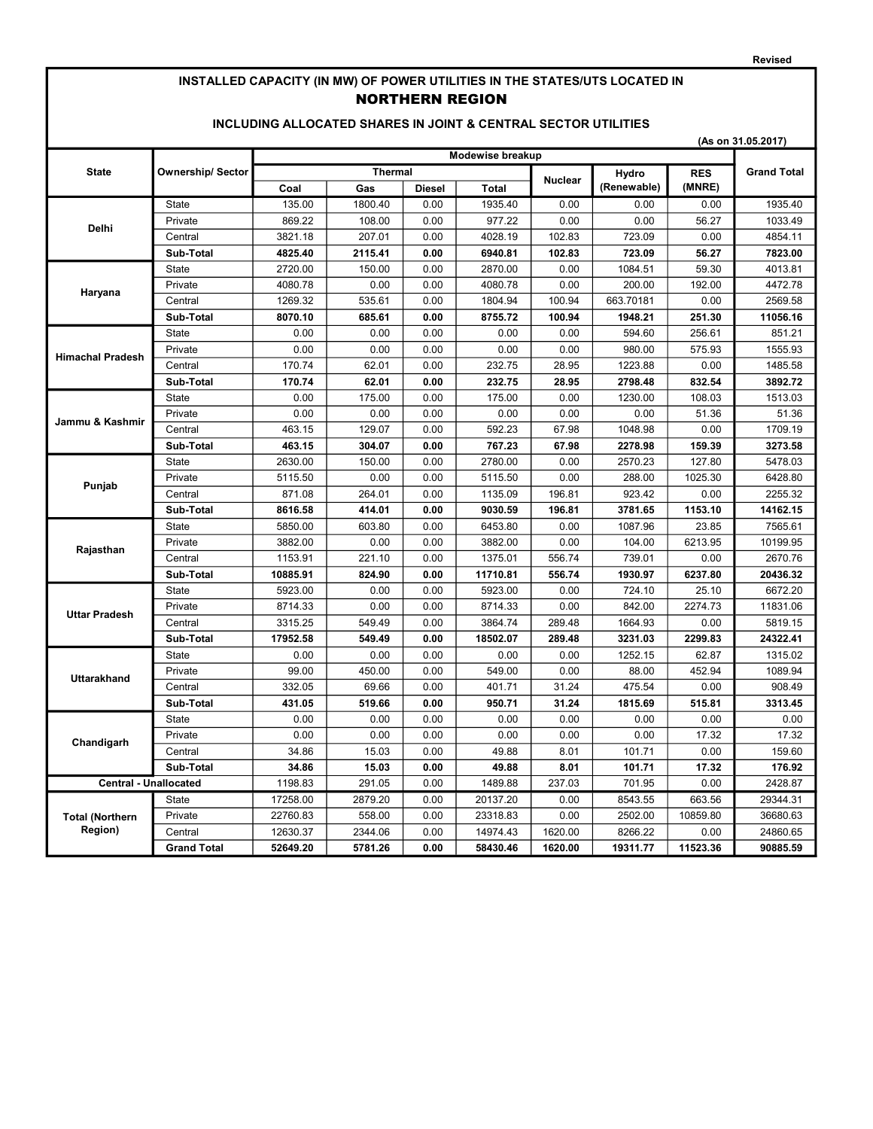#### Revised

# INSTALLED CAPACITY (IN MW) OF POWER UTILITIES IN THE STATES/UTS LOCATED IN NORTHERN REGION

### INCLUDING ALLOCATED SHARES IN JOINT & CENTRAL SECTOR UTILITIES

|                              | (As on 31.05.2017)      |                |                  |               |              |                |             |            |                    |  |  |
|------------------------------|-------------------------|----------------|------------------|---------------|--------------|----------------|-------------|------------|--------------------|--|--|
|                              |                         |                | Modewise breakup |               |              |                |             |            |                    |  |  |
| <b>State</b>                 | <b>Ownership/Sector</b> | <b>Thermal</b> |                  |               |              | <b>Nuclear</b> | Hydro       | <b>RES</b> | <b>Grand Total</b> |  |  |
|                              |                         | Coal           | Gas              | <b>Diesel</b> | <b>Total</b> |                | (Renewable) | (MNRE)     |                    |  |  |
|                              | <b>State</b>            | 135.00         | 1800.40          | 0.00          | 1935.40      | 0.00           | 0.00        | 0.00       | 1935.40            |  |  |
| <b>Delhi</b>                 | Private                 | 869.22         | 108.00           | 0.00          | 977.22       | 0.00           | 0.00        | 56.27      | 1033.49            |  |  |
|                              | Central                 | 3821.18        | 207.01           | 0.00          | 4028.19      | 102.83         | 723.09      | 0.00       | 4854.11            |  |  |
|                              | Sub-Total               | 4825.40        | 2115.41          | 0.00          | 6940.81      | 102.83         | 723.09      | 56.27      | 7823.00            |  |  |
|                              | <b>State</b>            | 2720.00        | 150.00           | 0.00          | 2870.00      | 0.00           | 1084.51     | 59.30      | 4013.81            |  |  |
| Haryana                      | Private                 | 4080.78        | 0.00             | 0.00          | 4080.78      | 0.00           | 200.00      | 192.00     | 4472.78            |  |  |
|                              | Central                 | 1269.32        | 535.61           | 0.00          | 1804.94      | 100.94         | 663.70181   | 0.00       | 2569.58            |  |  |
|                              | Sub-Total               | 8070.10        | 685.61           | 0.00          | 8755.72      | 100.94         | 1948.21     | 251.30     | 11056.16           |  |  |
|                              | <b>State</b>            | 0.00           | 0.00             | 0.00          | 0.00         | 0.00           | 594.60      | 256.61     | 851.21             |  |  |
| <b>Himachal Pradesh</b>      | Private                 | 0.00           | 0.00             | 0.00          | 0.00         | 0.00           | 980.00      | 575.93     | 1555.93            |  |  |
|                              | Central                 | 170.74         | 62.01            | 0.00          | 232.75       | 28.95          | 1223.88     | 0.00       | 1485.58            |  |  |
|                              | Sub-Total               | 170.74         | 62.01            | 0.00          | 232.75       | 28.95          | 2798.48     | 832.54     | 3892.72            |  |  |
|                              | State                   | 0.00           | 175.00           | 0.00          | 175.00       | 0.00           | 1230.00     | 108.03     | 1513.03            |  |  |
| Jammu & Kashmir              | Private                 | 0.00           | 0.00             | 0.00          | 0.00         | 0.00           | 0.00        | 51.36      | 51.36              |  |  |
|                              | Central                 | 463.15         | 129.07           | 0.00          | 592.23       | 67.98          | 1048.98     | 0.00       | 1709.19            |  |  |
|                              | Sub-Total               | 463.15         | 304.07           | 0.00          | 767.23       | 67.98          | 2278.98     | 159.39     | 3273.58            |  |  |
| Punjab                       | <b>State</b>            | 2630.00        | 150.00           | 0.00          | 2780.00      | 0.00           | 2570.23     | 127.80     | 5478.03            |  |  |
|                              | Private                 | 5115.50        | 0.00             | 0.00          | 5115.50      | 0.00           | 288.00      | 1025.30    | 6428.80            |  |  |
|                              | Central                 | 871.08         | 264.01           | 0.00          | 1135.09      | 196.81         | 923.42      | 0.00       | 2255.32            |  |  |
|                              | Sub-Total               | 8616.58        | 414.01           | 0.00          | 9030.59      | 196.81         | 3781.65     | 1153.10    | 14162.15           |  |  |
|                              | State                   | 5850.00        | 603.80           | 0.00          | 6453.80      | 0.00           | 1087.96     | 23.85      | 7565.61            |  |  |
|                              | Private                 | 3882.00        | 0.00             | 0.00          | 3882.00      | 0.00           | 104.00      | 6213.95    | 10199.95           |  |  |
| Rajasthan                    | Central                 | 1153.91        | 221.10           | 0.00          | 1375.01      | 556.74         | 739.01      | 0.00       | 2670.76            |  |  |
|                              | Sub-Total               | 10885.91       | 824.90           | 0.00          | 11710.81     | 556.74         | 1930.97     | 6237.80    | 20436.32           |  |  |
|                              | State                   | 5923.00        | 0.00             | 0.00          | 5923.00      | 0.00           | 724.10      | 25.10      | 6672.20            |  |  |
| <b>Uttar Pradesh</b>         | Private                 | 8714.33        | 0.00             | 0.00          | 8714.33      | 0.00           | 842.00      | 2274.73    | 11831.06           |  |  |
|                              | Central                 | 3315.25        | 549.49           | 0.00          | 3864.74      | 289.48         | 1664.93     | 0.00       | 5819.15            |  |  |
|                              | Sub-Total               | 17952.58       | 549.49           | 0.00          | 18502.07     | 289.48         | 3231.03     | 2299.83    | 24322.41           |  |  |
|                              | State                   | 0.00           | 0.00             | 0.00          | 0.00         | 0.00           | 1252.15     | 62.87      | 1315.02            |  |  |
| <b>Uttarakhand</b>           | Private                 | 99.00          | 450.00           | 0.00          | 549.00       | 0.00           | 88.00       | 452.94     | 1089.94            |  |  |
|                              | Central                 | 332.05         | 69.66            | 0.00          | 401.71       | 31.24          | 475.54      | 0.00       | 908.49             |  |  |
|                              | Sub-Total               | 431.05         | 519.66           | 0.00          | 950.71       | 31.24          | 1815.69     | 515.81     | 3313.45            |  |  |
|                              | State                   | 0.00           | 0.00             | 0.00          | 0.00         | 0.00           | 0.00        | 0.00       | 0.00               |  |  |
| Chandigarh                   | Private                 | 0.00           | 0.00             | 0.00          | 0.00         | 0.00           | 0.00        | 17.32      | 17.32              |  |  |
|                              | Central                 | 34.86          | 15.03            | 0.00          | 49.88        | 8.01           | 101.71      | 0.00       | 159.60             |  |  |
|                              | Sub-Total               | 34.86          | 15.03            | 0.00          | 49.88        | 8.01           | 101.71      | 17.32      | 176.92             |  |  |
| <b>Central - Unallocated</b> |                         | 1198.83        | 291.05           | 0.00          | 1489.88      | 237.03         | 701.95      | 0.00       | 2428.87            |  |  |
|                              | <b>State</b>            | 17258.00       | 2879.20          | 0.00          | 20137.20     | 0.00           | 8543.55     | 663.56     | 29344.31           |  |  |
| <b>Total (Northern</b>       | Private                 | 22760.83       | 558.00           | 0.00          | 23318.83     | 0.00           | 2502.00     | 10859.80   | 36680.63           |  |  |
| <b>Region</b> )              | Central                 | 12630.37       | 2344.06          | 0.00          | 14974.43     | 1620.00        | 8266.22     | 0.00       | 24860.65           |  |  |
|                              | <b>Grand Total</b>      | 52649.20       | 5781.26          | 0.00          | 58430.46     | 1620.00        | 19311.77    | 11523.36   | 90885.59           |  |  |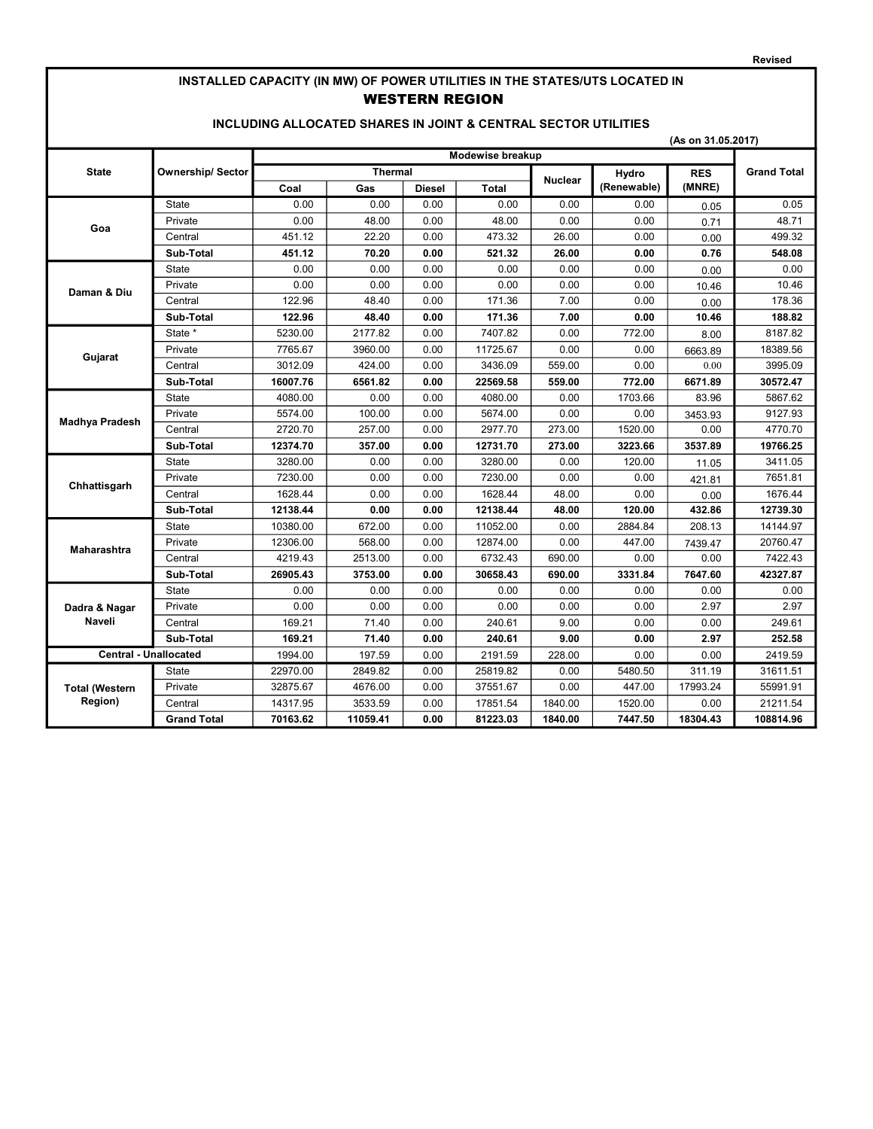# INSTALLED CAPACITY (IN MW) OF POWER UTILITIES IN THE STATES/UTS LOCATED IN WESTERN REGION

#### INCLUDING ALLOCATED SHARES IN JOINT & CENTRAL SECTOR UTILITIES

|  |  | (As on 31.05.2017) |
|--|--|--------------------|
|--|--|--------------------|

|                              |                         | Modewise breakup |                |        |          |                |             |            |                    |
|------------------------------|-------------------------|------------------|----------------|--------|----------|----------------|-------------|------------|--------------------|
| <b>State</b>                 | <b>Ownership/Sector</b> |                  | <b>Thermal</b> |        |          | <b>Nuclear</b> | Hydro       | <b>RES</b> | <b>Grand Total</b> |
|                              |                         | Coal             | Gas            | Diesel | Total    |                | (Renewable) | (MNRE)     |                    |
|                              | <b>State</b>            | 0.00             | 0.00           | 0.00   | 0.00     | 0.00           | 0.00        | 0.05       | 0.05               |
| Goa                          | Private                 | 0.00             | 48.00          | 0.00   | 48.00    | 0.00           | 0.00        | 0.71       | 48.71              |
|                              | Central                 | 451.12           | 22.20          | 0.00   | 473.32   | 26.00          | 0.00        | 0.00       | 499.32             |
|                              | Sub-Total               | 451.12           | 70.20          | 0.00   | 521.32   | 26.00          | 0.00        | 0.76       | 548.08             |
|                              | State                   | 0.00             | 0.00           | 0.00   | 0.00     | 0.00           | 0.00        | 0.00       | 0.00               |
| Daman & Diu                  | Private                 | 0.00             | 0.00           | 0.00   | 0.00     | 0.00           | 0.00        | 10.46      | 10.46              |
|                              | Central                 | 122.96           | 48.40          | 0.00   | 171.36   | 7.00           | 0.00        | 0.00       | 178.36             |
|                              | Sub-Total               | 122.96           | 48.40          | 0.00   | 171.36   | 7.00           | 0.00        | 10.46      | 188.82             |
|                              | State *                 | 5230.00          | 2177.82        | 0.00   | 7407.82  | 0.00           | 772.00      | 8.00       | 8187.82            |
| Gujarat                      | Private                 | 7765.67          | 3960.00        | 0.00   | 11725.67 | 0.00           | 0.00        | 6663.89    | 18389.56           |
|                              | Central                 | 3012.09          | 424.00         | 0.00   | 3436.09  | 559.00         | 0.00        | 0.00       | 3995.09            |
|                              | Sub-Total               | 16007.76         | 6561.82        | 0.00   | 22569.58 | 559.00         | 772.00      | 6671.89    | 30572.47           |
| <b>Madhya Pradesh</b>        | <b>State</b>            | 4080.00          | 0.00           | 0.00   | 4080.00  | 0.00           | 1703.66     | 83.96      | 5867.62            |
|                              | Private                 | 5574.00          | 100.00         | 0.00   | 5674.00  | 0.00           | 0.00        | 3453.93    | 9127.93            |
|                              | Central                 | 2720.70          | 257.00         | 0.00   | 2977.70  | 273.00         | 1520.00     | 0.00       | 4770.70            |
|                              | Sub-Total               | 12374.70         | 357.00         | 0.00   | 12731.70 | 273.00         | 3223.66     | 3537.89    | 19766.25           |
|                              | <b>State</b>            | 3280.00          | 0.00           | 0.00   | 3280.00  | 0.00           | 120.00      | 11.05      | 3411.05            |
| Chhattisgarh                 | Private                 | 7230.00          | 0.00           | 0.00   | 7230.00  | 0.00           | 0.00        | 421.81     | 7651.81            |
|                              | Central                 | 1628.44          | 0.00           | 0.00   | 1628.44  | 48.00          | 0.00        | 0.00       | 1676.44            |
|                              | Sub-Total               | 12138.44         | 0.00           | 0.00   | 12138.44 | 48.00          | 120.00      | 432.86     | 12739.30           |
|                              | <b>State</b>            | 10380.00         | 672.00         | 0.00   | 11052.00 | 0.00           | 2884.84     | 208.13     | 14144.97           |
| Maharashtra                  | Private                 | 12306.00         | 568.00         | 0.00   | 12874.00 | 0.00           | 447.00      | 7439.47    | 20760.47           |
|                              | Central                 | 4219.43          | 2513.00        | 0.00   | 6732.43  | 690.00         | 0.00        | 0.00       | 7422.43            |
|                              | Sub-Total               | 26905.43         | 3753.00        | 0.00   | 30658.43 | 690.00         | 3331.84     | 7647.60    | 42327.87           |
|                              | <b>State</b>            | 0.00             | 0.00           | 0.00   | 0.00     | 0.00           | 0.00        | 0.00       | 0.00               |
| Dadra & Nagar                | Private                 | 0.00             | 0.00           | 0.00   | 0.00     | 0.00           | 0.00        | 2.97       | 2.97               |
| <b>Naveli</b>                | Central                 | 169.21           | 71.40          | 0.00   | 240.61   | 9.00           | 0.00        | 0.00       | 249.61             |
|                              | Sub-Total               | 169.21           | 71.40          | 0.00   | 240.61   | 9.00           | 0.00        | 2.97       | 252.58             |
| <b>Central - Unallocated</b> |                         | 1994.00          | 197.59         | 0.00   | 2191.59  | 228.00         | 0.00        | 0.00       | 2419.59            |
|                              | <b>State</b>            | 22970.00         | 2849.82        | 0.00   | 25819.82 | 0.00           | 5480.50     | 311.19     | 31611.51           |
| <b>Total (Western</b>        | Private                 | 32875.67         | 4676.00        | 0.00   | 37551.67 | 0.00           | 447.00      | 17993.24   | 55991.91           |
| Region)                      | Central                 | 14317.95         | 3533.59        | 0.00   | 17851.54 | 1840.00        | 1520.00     | 0.00       | 21211.54           |
|                              | <b>Grand Total</b>      | 70163.62         | 11059.41       | 0.00   | 81223.03 | 1840.00        | 7447.50     | 18304.43   | 108814.96          |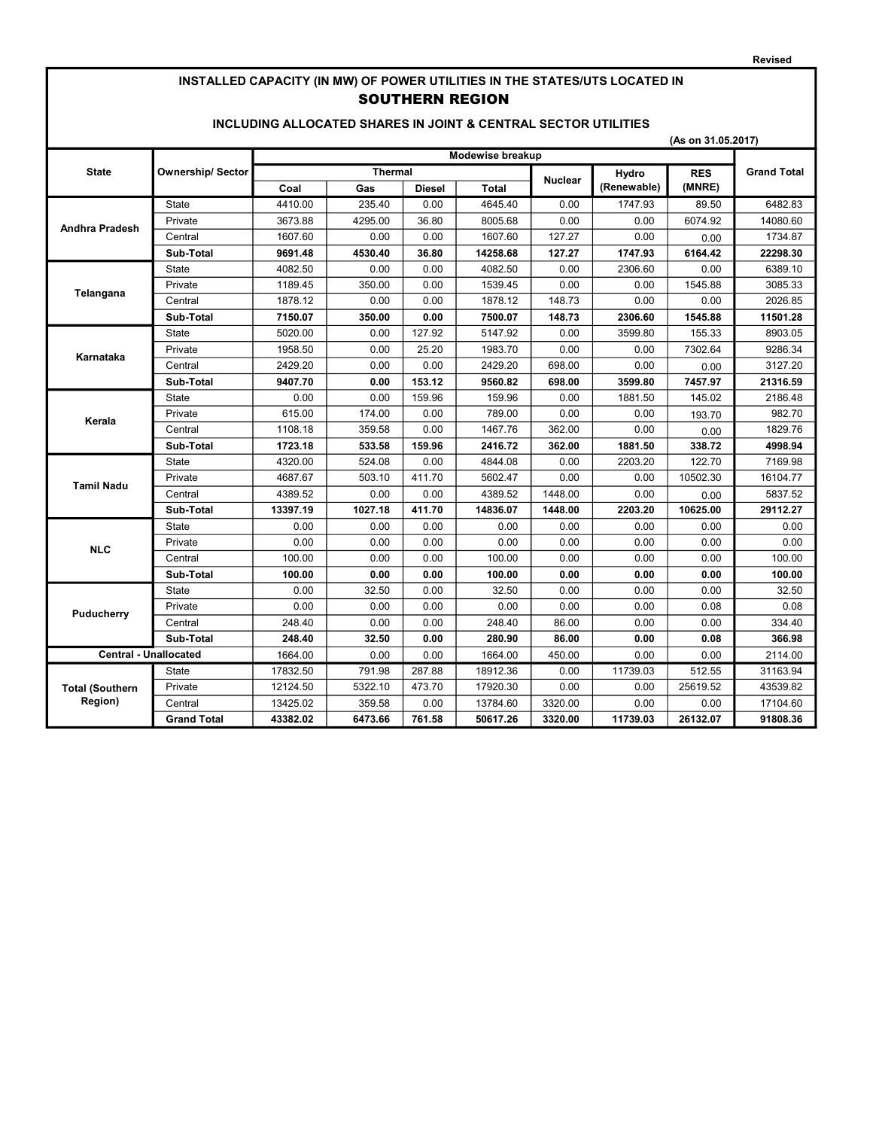# INSTALLED CAPACITY (IN MW) OF POWER UTILITIES IN THE STATES/UTS LOCATED IN SOUTHERN REGION

#### INCLUDING ALLOCATED SHARES IN JOINT & CENTRAL SECTOR UTILITIES

| (As on 31.05.2017) |  |
|--------------------|--|
|--------------------|--|

|                              |                          | Modewise breakup |                |               |              |                |             |            |                    |
|------------------------------|--------------------------|------------------|----------------|---------------|--------------|----------------|-------------|------------|--------------------|
| <b>State</b>                 | <b>Ownership/ Sector</b> |                  | <b>Thermal</b> |               |              | <b>Nuclear</b> | Hydro       | <b>RES</b> | <b>Grand Total</b> |
|                              |                          | Coal             | Gas            | <b>Diesel</b> | <b>Total</b> |                | (Renewable) | (MNRE)     |                    |
|                              | <b>State</b>             | 4410.00          | 235.40         | 0.00          | 4645.40      | 0.00           | 1747.93     | 89.50      | 6482.83            |
| Andhra Pradesh               | Private                  | 3673.88          | 4295.00        | 36.80         | 8005.68      | 0.00           | 0.00        | 6074.92    | 14080.60           |
|                              | Central                  | 1607.60          | 0.00           | 0.00          | 1607.60      | 127.27         | 0.00        | 0.00       | 1734.87            |
|                              | Sub-Total                | 9691.48          | 4530.40        | 36.80         | 14258.68     | 127.27         | 1747.93     | 6164.42    | 22298.30           |
|                              | <b>State</b>             | 4082.50          | 0.00           | 0.00          | 4082.50      | 0.00           | 2306.60     | 0.00       | 6389.10            |
|                              | Private                  | 1189.45          | 350.00         | 0.00          | 1539.45      | 0.00           | 0.00        | 1545.88    | 3085.33            |
| Telangana                    | Central                  | 1878.12          | 0.00           | 0.00          | 1878.12      | 148.73         | 0.00        | 0.00       | 2026.85            |
|                              | Sub-Total                | 7150.07          | 350.00         | 0.00          | 7500.07      | 148.73         | 2306.60     | 1545.88    | 11501.28           |
|                              | <b>State</b>             | 5020.00          | 0.00           | 127.92        | 5147.92      | 0.00           | 3599.80     | 155.33     | 8903.05            |
| Karnataka                    | Private                  | 1958.50          | 0.00           | 25.20         | 1983.70      | 0.00           | 0.00        | 7302.64    | 9286.34            |
|                              | Central                  | 2429.20          | 0.00           | 0.00          | 2429.20      | 698.00         | 0.00        | 0.00       | 3127.20            |
|                              | Sub-Total                | 9407.70          | 0.00           | 153.12        | 9560.82      | 698.00         | 3599.80     | 7457.97    | 21316.59           |
| Kerala                       | <b>State</b>             | 0.00             | 0.00           | 159.96        | 159.96       | 0.00           | 1881.50     | 145.02     | 2186.48            |
|                              | Private                  | 615.00           | 174.00         | 0.00          | 789.00       | 0.00           | 0.00        | 193.70     | 982.70             |
|                              | Central                  | 1108.18          | 359.58         | 0.00          | 1467.76      | 362.00         | 0.00        | 0.00       | 1829.76            |
|                              | Sub-Total                | 1723.18          | 533.58         | 159.96        | 2416.72      | 362.00         | 1881.50     | 338.72     | 4998.94            |
|                              | <b>State</b>             | 4320.00          | 524.08         | 0.00          | 4844.08      | 0.00           | 2203.20     | 122.70     | 7169.98            |
| <b>Tamil Nadu</b>            | Private                  | 4687.67          | 503.10         | 411.70        | 5602.47      | 0.00           | 0.00        | 10502.30   | 16104.77           |
|                              | Central                  | 4389.52          | 0.00           | 0.00          | 4389.52      | 1448.00        | 0.00        | 0.00       | 5837.52            |
|                              | Sub-Total                | 13397.19         | 1027.18        | 411.70        | 14836.07     | 1448.00        | 2203.20     | 10625.00   | 29112.27           |
|                              | <b>State</b>             | 0.00             | 0.00           | 0.00          | 0.00         | 0.00           | 0.00        | 0.00       | 0.00               |
| <b>NLC</b>                   | Private                  | 0.00             | 0.00           | 0.00          | 0.00         | 0.00           | 0.00        | 0.00       | 0.00               |
|                              | Central                  | 100.00           | 0.00           | 0.00          | 100.00       | 0.00           | 0.00        | 0.00       | 100.00             |
|                              | Sub-Total                | 100.00           | 0.00           | 0.00          | 100.00       | 0.00           | 0.00        | 0.00       | 100.00             |
|                              | <b>State</b>             | 0.00             | 32.50          | 0.00          | 32.50        | 0.00           | 0.00        | 0.00       | 32.50              |
| Puducherry                   | Private                  | 0.00             | 0.00           | 0.00          | 0.00         | 0.00           | 0.00        | 0.08       | 0.08               |
|                              | Central                  | 248.40           | 0.00           | 0.00          | 248.40       | 86.00          | 0.00        | 0.00       | 334.40             |
|                              | Sub-Total                | 248.40           | 32.50          | 0.00          | 280.90       | 86.00          | 0.00        | 0.08       | 366.98             |
| <b>Central - Unallocated</b> |                          | 1664.00          | 0.00           | 0.00          | 1664.00      | 450.00         | 0.00        | 0.00       | 2114.00            |
|                              | <b>State</b>             | 17832.50         | 791.98         | 287.88        | 18912.36     | 0.00           | 11739.03    | 512.55     | 31163.94           |
| <b>Total (Southern</b>       | Private                  | 12124.50         | 5322.10        | 473.70        | 17920.30     | 0.00           | 0.00        | 25619.52   | 43539.82           |
| Region)                      | Central                  | 13425.02         | 359.58         | 0.00          | 13784.60     | 3320.00        | 0.00        | 0.00       | 17104.60           |
|                              | <b>Grand Total</b>       | 43382.02         | 6473.66        | 761.58        | 50617.26     | 3320.00        | 11739.03    | 26132.07   | 91808.36           |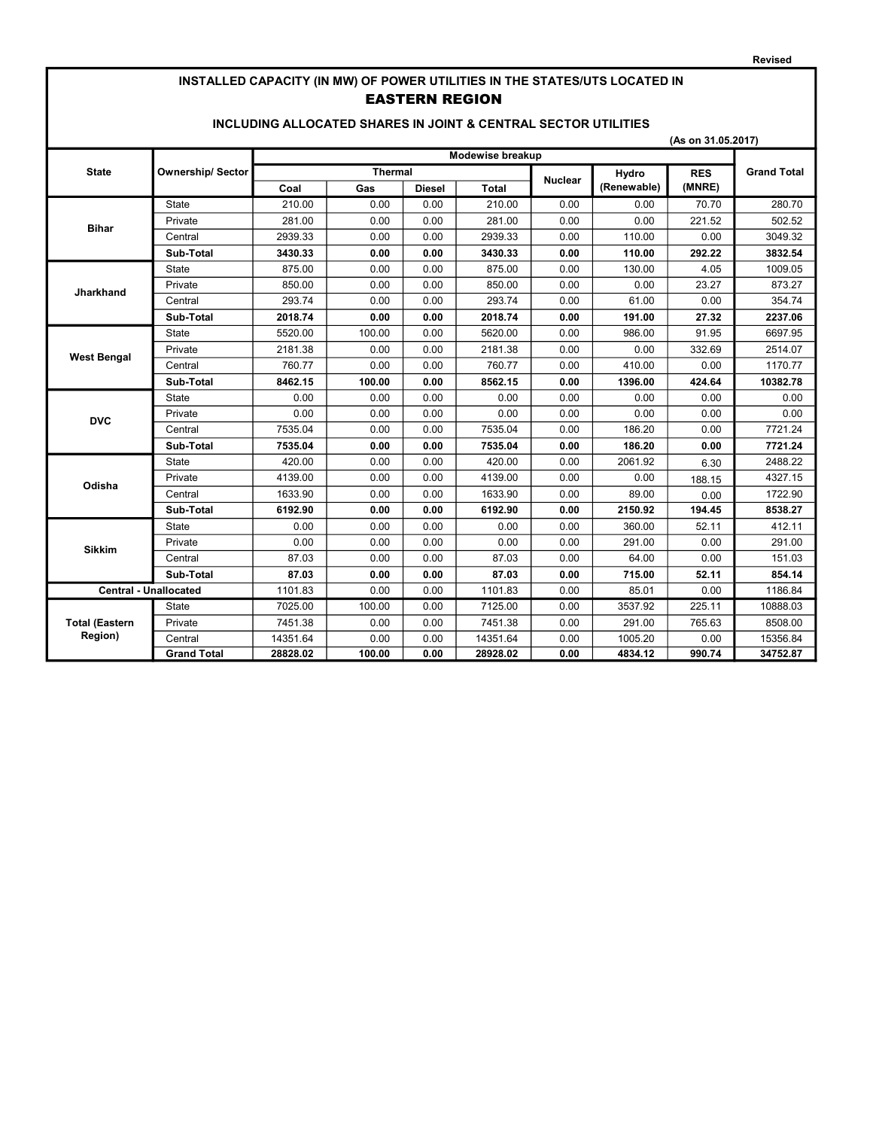# INSTALLED CAPACITY (IN MW) OF POWER UTILITIES IN THE STATES/UTS LOCATED IN EASTERN REGION

#### INCLUDING ALLOCATED SHARES IN JOINT & CENTRAL SECTOR UTILITIES

|                              |                          | (As on 31.05.2017) |                  |               |              |                |             |            |                    |  |
|------------------------------|--------------------------|--------------------|------------------|---------------|--------------|----------------|-------------|------------|--------------------|--|
|                              |                          |                    | Modewise breakup |               |              |                |             |            |                    |  |
| <b>State</b>                 | <b>Ownership/ Sector</b> | <b>Thermal</b>     |                  |               |              | <b>Nuclear</b> | Hydro       | <b>RES</b> | <b>Grand Total</b> |  |
|                              |                          | Coal               | Gas              | <b>Diesel</b> | <b>Total</b> |                | (Renewable) | (MNRE)     |                    |  |
|                              | State                    | 210.00             | 0.00             | 0.00          | 210.00       | 0.00           | 0.00        | 70.70      | 280.70             |  |
| <b>Bihar</b>                 | Private                  | 281.00             | 0.00             | 0.00          | 281.00       | 0.00           | 0.00        | 221.52     | 502.52             |  |
|                              | Central                  | 2939.33            | 0.00             | 0.00          | 2939.33      | 0.00           | 110.00      | 0.00       | 3049.32            |  |
|                              | Sub-Total                | 3430.33            | 0.00             | 0.00          | 3430.33      | 0.00           | 110.00      | 292.22     | 3832.54            |  |
|                              | <b>State</b>             | 875.00             | 0.00             | 0.00          | 875.00       | 0.00           | 130.00      | 4.05       | 1009.05            |  |
| <b>Jharkhand</b>             | Private                  | 850.00             | 0.00             | 0.00          | 850.00       | 0.00           | 0.00        | 23.27      | 873.27             |  |
|                              | Central                  | 293.74             | 0.00             | 0.00          | 293.74       | 0.00           | 61.00       | 0.00       | 354.74             |  |
|                              | Sub-Total                | 2018.74            | 0.00             | 0.00          | 2018.74      | 0.00           | 191.00      | 27.32      | 2237.06            |  |
| <b>West Bengal</b>           | State                    | 5520.00            | 100.00           | 0.00          | 5620.00      | 0.00           | 986.00      | 91.95      | 6697.95            |  |
|                              | Private                  | 2181.38            | 0.00             | 0.00          | 2181.38      | 0.00           | 0.00        | 332.69     | 2514.07            |  |
|                              | Central                  | 760.77             | 0.00             | 0.00          | 760.77       | 0.00           | 410.00      | 0.00       | 1170.77            |  |
|                              | Sub-Total                | 8462.15            | 100.00           | 0.00          | 8562.15      | 0.00           | 1396.00     | 424.64     | 10382.78           |  |
| <b>DVC</b>                   | <b>State</b>             | 0.00               | 0.00             | 0.00          | 0.00         | 0.00           | 0.00        | 0.00       | 0.00               |  |
|                              | Private                  | 0.00               | 0.00             | 0.00          | 0.00         | 0.00           | 0.00        | 0.00       | 0.00               |  |
|                              | Central                  | 7535.04            | 0.00             | 0.00          | 7535.04      | 0.00           | 186.20      | 0.00       | 7721.24            |  |
|                              | Sub-Total                | 7535.04            | 0.00             | 0.00          | 7535.04      | 0.00           | 186.20      | 0.00       | 7721.24            |  |
|                              | <b>State</b>             | 420.00             | 0.00             | 0.00          | 420.00       | 0.00           | 2061.92     | 6.30       | 2488.22            |  |
| Odisha                       | Private                  | 4139.00            | 0.00             | 0.00          | 4139.00      | 0.00           | 0.00        | 188.15     | 4327.15            |  |
|                              | Central                  | 1633.90            | 0.00             | 0.00          | 1633.90      | 0.00           | 89.00       | 0.00       | 1722.90            |  |
|                              | Sub-Total                | 6192.90            | 0.00             | 0.00          | 6192.90      | 0.00           | 2150.92     | 194.45     | 8538.27            |  |
|                              | <b>State</b>             | 0.00               | 0.00             | 0.00          | 0.00         | 0.00           | 360.00      | 52.11      | 412.11             |  |
| <b>Sikkim</b>                | Private                  | 0.00               | 0.00             | 0.00          | 0.00         | 0.00           | 291.00      | 0.00       | 291.00             |  |
|                              | Central                  | 87.03              | 0.00             | 0.00          | 87.03        | 0.00           | 64.00       | 0.00       | 151.03             |  |
|                              | Sub-Total                | 87.03              | 0.00             | 0.00          | 87.03        | 0.00           | 715.00      | 52.11      | 854.14             |  |
| <b>Central - Unallocated</b> |                          | 1101.83            | 0.00             | 0.00          | 1101.83      | 0.00           | 85.01       | 0.00       | 1186.84            |  |
|                              | <b>State</b>             | 7025.00            | 100.00           | 0.00          | 7125.00      | 0.00           | 3537.92     | 225.11     | 10888.03           |  |
| <b>Total (Eastern</b>        | Private                  | 7451.38            | 0.00             | 0.00          | 7451.38      | 0.00           | 291.00      | 765.63     | 8508.00            |  |
| Region)                      | Central                  | 14351.64           | 0.00             | 0.00          | 14351.64     | 0.00           | 1005.20     | 0.00       | 15356.84           |  |
|                              | <b>Grand Total</b>       | 28828.02           | 100.00           | 0.00          | 28928.02     | 0.00           | 4834.12     | 990.74     | 34752.87           |  |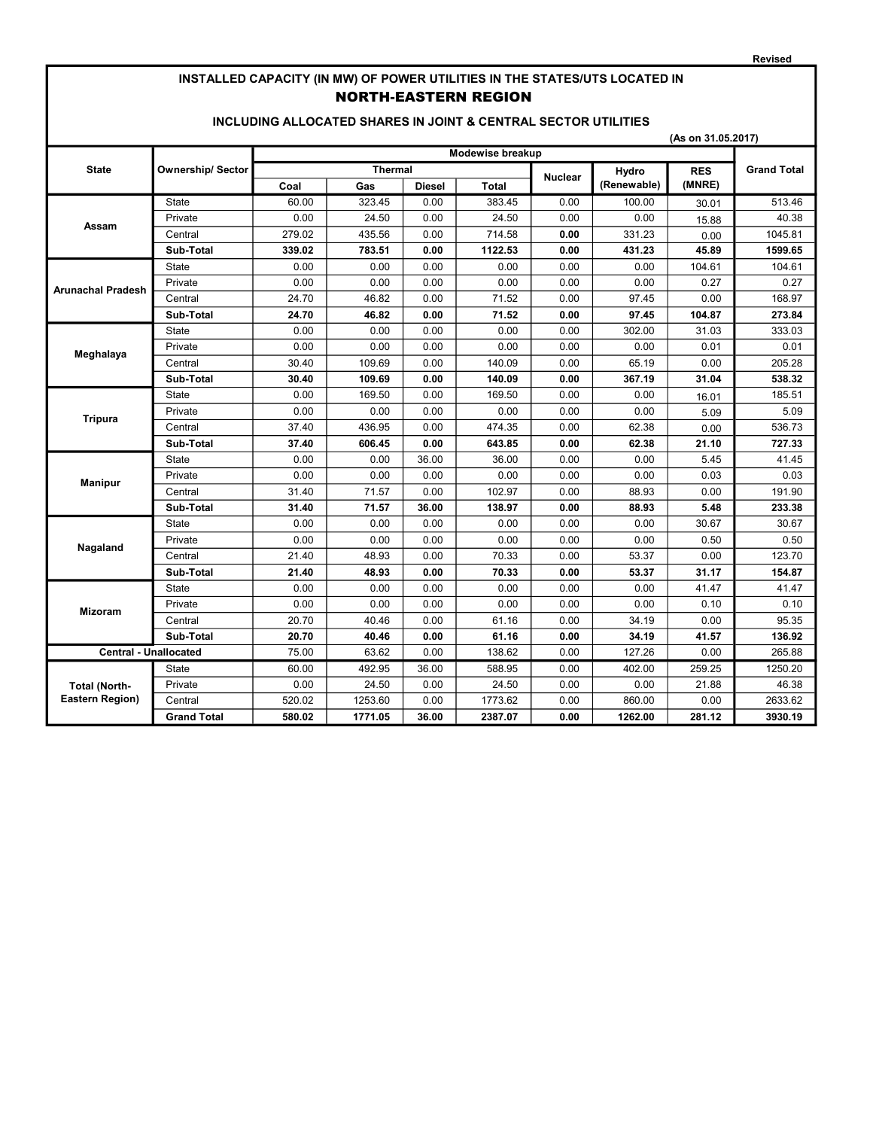#### Revised

### INSTALLED CAPACITY (IN MW) OF POWER UTILITIES IN THE STATES/UTS LOCATED IN NORTH-EASTERN REGION

### INCLUDING ALLOCATED SHARES IN JOINT & CENTRAL SECTOR UTILITIES

|                              |                         | (As on 31.05.2017) |         |               |                |       |             |                    |         |  |
|------------------------------|-------------------------|--------------------|---------|---------------|----------------|-------|-------------|--------------------|---------|--|
|                              |                         | Modewise breakup   |         |               |                |       |             |                    |         |  |
| <b>State</b>                 | <b>Ownership/Sector</b> | <b>Thermal</b>     |         |               | <b>Nuclear</b> | Hydro | <b>RES</b>  | <b>Grand Total</b> |         |  |
|                              |                         | Coal               | Gas     | <b>Diesel</b> | <b>Total</b>   |       | (Renewable) | (MNRE)             |         |  |
|                              | <b>State</b>            | 60.00              | 323.45  | 0.00          | 383.45         | 0.00  | 100.00      | 30.01              | 513.46  |  |
| Assam                        | Private                 | 0.00               | 24.50   | 0.00          | 24.50          | 0.00  | 0.00        | 15.88              | 40.38   |  |
|                              | Central                 | 279.02             | 435.56  | 0.00          | 714.58         | 0.00  | 331.23      | 0.00               | 1045.81 |  |
|                              | Sub-Total               | 339.02             | 783.51  | 0.00          | 1122.53        | 0.00  | 431.23      | 45.89              | 1599.65 |  |
|                              | <b>State</b>            | 0.00               | 0.00    | 0.00          | 0.00           | 0.00  | 0.00        | 104.61             | 104.61  |  |
| Arunachal Pradesh            | Private                 | 0.00               | 0.00    | 0.00          | 0.00           | 0.00  | 0.00        | 0.27               | 0.27    |  |
|                              | Central                 | 24.70              | 46.82   | 0.00          | 71.52          | 0.00  | 97.45       | 0.00               | 168.97  |  |
|                              | Sub-Total               | 24.70              | 46.82   | 0.00          | 71.52          | 0.00  | 97.45       | 104.87             | 273.84  |  |
| Meghalaya                    | State                   | 0.00               | 0.00    | 0.00          | 0.00           | 0.00  | 302.00      | 31.03              | 333.03  |  |
|                              | Private                 | 0.00               | 0.00    | 0.00          | 0.00           | 0.00  | 0.00        | 0.01               | 0.01    |  |
|                              | Central                 | 30.40              | 109.69  | 0.00          | 140.09         | 0.00  | 65.19       | 0.00               | 205.28  |  |
|                              | Sub-Total               | 30.40              | 109.69  | 0.00          | 140.09         | 0.00  | 367.19      | 31.04              | 538.32  |  |
| <b>Tripura</b>               | State                   | 0.00               | 169.50  | 0.00          | 169.50         | 0.00  | 0.00        | 16.01              | 185.51  |  |
|                              | Private                 | 0.00               | 0.00    | 0.00          | 0.00           | 0.00  | 0.00        | 5.09               | 5.09    |  |
|                              | Central                 | 37.40              | 436.95  | 0.00          | 474.35         | 0.00  | 62.38       | 0.00               | 536.73  |  |
|                              | Sub-Total               | 37.40              | 606.45  | 0.00          | 643.85         | 0.00  | 62.38       | 21.10              | 727.33  |  |
|                              | State                   | 0.00               | 0.00    | 36.00         | 36.00          | 0.00  | 0.00        | 5.45               | 41.45   |  |
| <b>Manipur</b>               | Private                 | 0.00               | 0.00    | 0.00          | 0.00           | 0.00  | 0.00        | 0.03               | 0.03    |  |
|                              | Central                 | 31.40              | 71.57   | 0.00          | 102.97         | 0.00  | 88.93       | 0.00               | 191.90  |  |
|                              | Sub-Total               | 31.40              | 71.57   | 36.00         | 138.97         | 0.00  | 88.93       | 5.48               | 233.38  |  |
|                              | State                   | 0.00               | 0.00    | 0.00          | 0.00           | 0.00  | 0.00        | 30.67              | 30.67   |  |
| Nagaland                     | Private                 | 0.00               | 0.00    | 0.00          | 0.00           | 0.00  | 0.00        | 0.50               | 0.50    |  |
|                              | Central                 | 21.40              | 48.93   | 0.00          | 70.33          | 0.00  | 53.37       | 0.00               | 123.70  |  |
|                              | Sub-Total               | 21.40              | 48.93   | 0.00          | 70.33          | 0.00  | 53.37       | 31.17              | 154.87  |  |
|                              | <b>State</b>            | 0.00               | 0.00    | 0.00          | 0.00           | 0.00  | 0.00        | 41.47              | 41.47   |  |
| <b>Mizoram</b>               | Private                 | 0.00               | 0.00    | 0.00          | 0.00           | 0.00  | 0.00        | 0.10               | 0.10    |  |
|                              | Central                 | 20.70              | 40.46   | 0.00          | 61.16          | 0.00  | 34.19       | 0.00               | 95.35   |  |
|                              | Sub-Total               | 20.70              | 40.46   | 0.00          | 61.16          | 0.00  | 34.19       | 41.57              | 136.92  |  |
| <b>Central - Unallocated</b> |                         | 75.00              | 63.62   | 0.00          | 138.62         | 0.00  | 127.26      | 0.00               | 265.88  |  |
|                              | <b>State</b>            | 60.00              | 492.95  | 36.00         | 588.95         | 0.00  | 402.00      | 259.25             | 1250.20 |  |
| <b>Total (North-</b>         | Private                 | 0.00               | 24.50   | 0.00          | 24.50          | 0.00  | 0.00        | 21.88              | 46.38   |  |
| Eastern Region)              | Central                 | 520.02             | 1253.60 | 0.00          | 1773.62        | 0.00  | 860.00      | 0.00               | 2633.62 |  |
|                              | <b>Grand Total</b>      | 580.02             | 1771.05 | 36.00         | 2387.07        | 0.00  | 1262.00     | 281.12             | 3930.19 |  |